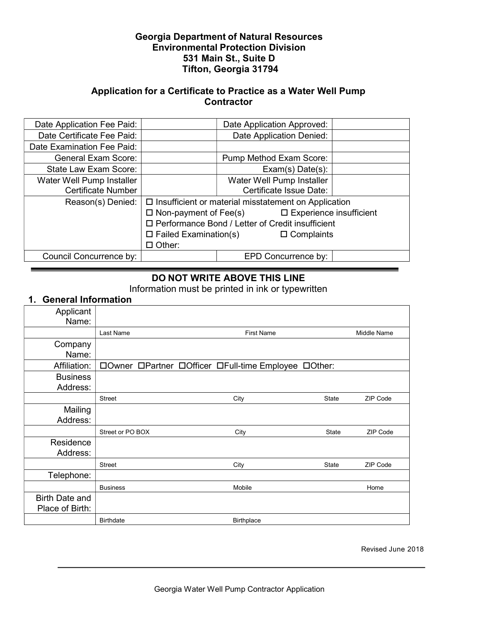## Georgia Department of Natural Resources Environmental Protection Division 531 Main St., Suite D Tifton, Georgia 31794

## Application for a Certificate to Practice as a Water Well Pump **Contractor**

| Date Application Fee Paid: | Date Application Approved:                                  |                           |  |  |
|----------------------------|-------------------------------------------------------------|---------------------------|--|--|
| Date Certificate Fee Paid: | Date Application Denied:                                    |                           |  |  |
| Date Examination Fee Paid: |                                                             |                           |  |  |
| <b>General Exam Score:</b> |                                                             | Pump Method Exam Score:   |  |  |
| State Law Exam Score:      |                                                             | $Exam(s)$ Date $(s)$ :    |  |  |
| Water Well Pump Installer  |                                                             | Water Well Pump Installer |  |  |
| <b>Certificate Number</b>  |                                                             | Certificate Issue Date:   |  |  |
| Reason(s) Denied:          | $\Box$ Insufficient or material misstatement on Application |                           |  |  |
|                            | $\Box$ Non-payment of Fee(s) $\Box$ Experience insufficient |                           |  |  |
|                            | □ Performance Bond / Letter of Credit insufficient          |                           |  |  |
|                            | $\square$ Failed Examination(s)<br>$\Box$ Complaints        |                           |  |  |
|                            | $\Box$ Other:                                               |                           |  |  |
| Council Concurrence by:    |                                                             | EPD Concurrence by:       |  |  |

## DO NOT WRITE ABOVE THIS LINE

Information must be printed in ink or typewritten

## 1. General Information

| Applicant             |                  |                                                      |              |          |
|-----------------------|------------------|------------------------------------------------------|--------------|----------|
| Name:                 |                  |                                                      |              |          |
|                       | Last Name        | <b>First Name</b>                                    |              |          |
| Company               |                  |                                                      |              |          |
| Name:                 |                  |                                                      |              |          |
| Affiliation:          |                  | □Owner □Partner □Officer □Full-time Employee □Other: |              |          |
| <b>Business</b>       |                  |                                                      |              |          |
| Address:              |                  |                                                      |              |          |
|                       | Street           | City                                                 | State        | ZIP Code |
| Mailing               |                  |                                                      |              |          |
| Address:              |                  |                                                      |              |          |
|                       | Street or PO BOX | City                                                 | <b>State</b> | ZIP Code |
| Residence             |                  |                                                      |              |          |
| Address:              |                  |                                                      |              |          |
|                       | <b>Street</b>    | City                                                 | State        | ZIP Code |
| Telephone:            |                  |                                                      |              |          |
|                       | <b>Business</b>  | Mobile                                               |              | Home     |
| <b>Birth Date and</b> |                  |                                                      |              |          |
| Place of Birth:       |                  |                                                      |              |          |
|                       | <b>Birthdate</b> | <b>Birthplace</b>                                    |              |          |

Revised June 2018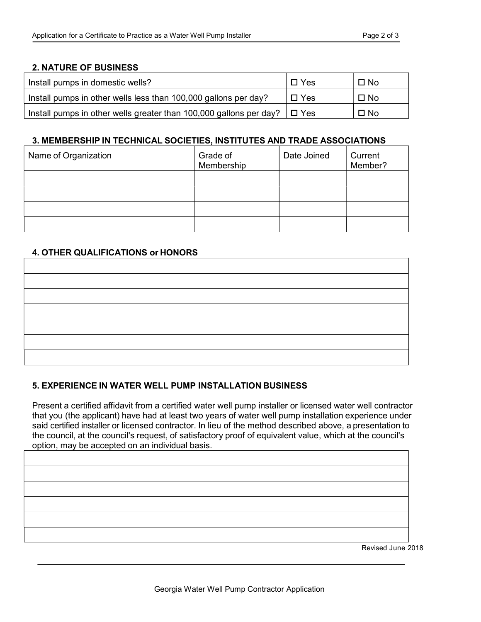#### 2. NATURE OF BUSINESS

| Install pumps in domestic wells?                                              | $\Box$ Yes    | $\Box$ No |
|-------------------------------------------------------------------------------|---------------|-----------|
| Install pumps in other wells less than 100,000 gallons per day?               | $\square$ Yes | $\Box$ No |
| Install pumps in other wells greater than 100,000 gallons per day? $\Box$ Yes |               | $\Box$ No |

#### 3. MEMBERSHIP IN TECHNICAL SOCIETIES, INSTITUTES AND TRADE ASSOCIATIONS

| Name of Organization | Grade of<br>Membership | Date Joined | Current<br>Member? |
|----------------------|------------------------|-------------|--------------------|
|                      |                        |             |                    |
|                      |                        |             |                    |
|                      |                        |             |                    |
|                      |                        |             |                    |

#### 4. OTHER QUALIFICATIONS or HONORS

#### 5. EXPERIENCE IN WATER WELL PUMP INSTALLATION BUSINESS

Present a certified affidavit from a certified water well pump installer or licensed water well contractor that you (the applicant) have had at least two years of water well pump installation experience under said certified installer or licensed contractor. In lieu of the method described above, a presentation to the council, at the council's request, of satisfactory proof of equivalent value, which at the council's option, may be accepted on an individual basis.

Revised June 2018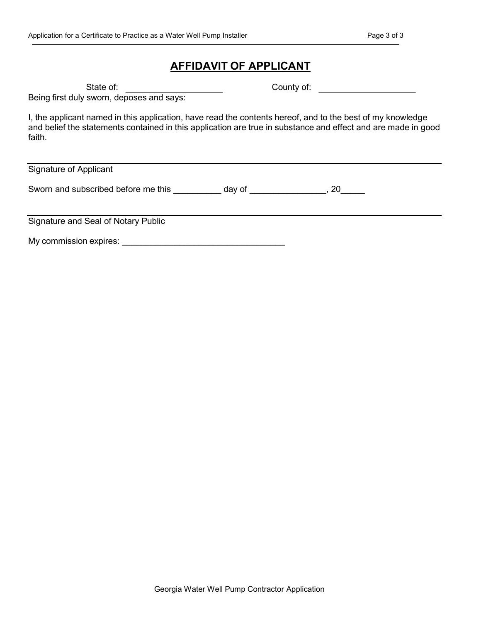# AFFIDAVIT OF APPLICANT

State of: County of:

Being first duly sworn, deposes and says:

I, the applicant named in this application, have read the contents hereof, and to the best of my knowledge and belief the statements contained in this application are true in substance and effect and are made in good faith.

Signature of Applicant

Sworn and subscribed before me this \_\_\_\_\_\_\_\_\_ day of \_\_\_\_\_\_\_\_\_\_\_\_\_\_, 20\_\_\_\_\_

Signature and Seal of Notary Public

My commission expires: \_\_\_\_\_\_\_\_\_\_\_\_\_\_\_\_\_\_\_\_\_\_\_\_\_\_\_\_\_\_\_\_\_\_